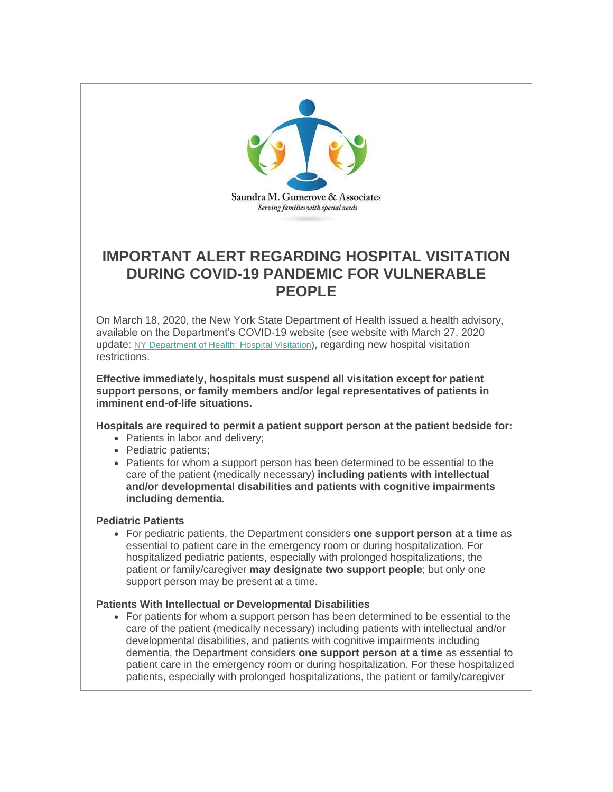

## **IMPORTANT ALERT REGARDING HOSPITAL VISITATION DURING COVID-19 PANDEMIC FOR VULNERABLE PEOPLE**

On March 18, 2020, the New York State Department of Health issued a health advisory, available on the Department's COVID-19 website (see website with March 27, 2020 update: [NY Department of Health: Hospital Visitation\)](http://r20.rs6.net/tn.jsp?f=001IacrOmw7oRlmNz__hgWz48YdWK9f4Ou_vS78meHlhmKcCy0X3X0jMuoT4Iv7rHjnGIzODiT7xFCb6HySJEnUWpGfPwqzZX055wK163Wav6FwCs8bhjpiv7HiIBhsbbBPdn8MfOdy-D0YkI83Xpe2hC13dEAwo9Fus1zKPGd4_GwVxt_etSC42a-D8bmBPSGDNYKZL-OpWRZnilFfNyCdl7DriLQuSxPvJ3sKPoEJUXtWL70Jy-gG67uyi8aGaup8yLlflqWjMCE=&c=F5EtCpGPvYBGOHrZynx11hMoJsK_qqRGBVAgT7yyiwU2u52-kwFrgw==&ch=gTIZ8vxMHxWKzwdQMfkLi9-tRTs_FzqDWYbUBJkUldJrBKTHQIas7Q==), regarding new hospital visitation restrictions.

**Effective immediately, hospitals must suspend all visitation except for patient support persons, or family members and/or legal representatives of patients in imminent end-of-life situations.**

## **Hospitals are required to permit a patient support person at the patient bedside for:**

- Patients in labor and delivery:
- Pediatric patients;
- Patients for whom a support person has been determined to be essential to the care of the patient (medically necessary) **including patients with intellectual and/or developmental disabilities and patients with cognitive impairments including dementia.**

## **Pediatric Patients**

• For pediatric patients, the Department considers **one support person at a time** as essential to patient care in the emergency room or during hospitalization. For hospitalized pediatric patients, especially with prolonged hospitalizations, the patient or family/caregiver **may designate two support people**; but only one support person may be present at a time.

## **Patients With Intellectual or Developmental Disabilities**

• For patients for whom a support person has been determined to be essential to the care of the patient (medically necessary) including patients with intellectual and/or developmental disabilities, and patients with cognitive impairments including dementia, the Department considers **one support person at a time** as essential to patient care in the emergency room or during hospitalization. For these hospitalized patients, especially with prolonged hospitalizations, the patient or family/caregiver